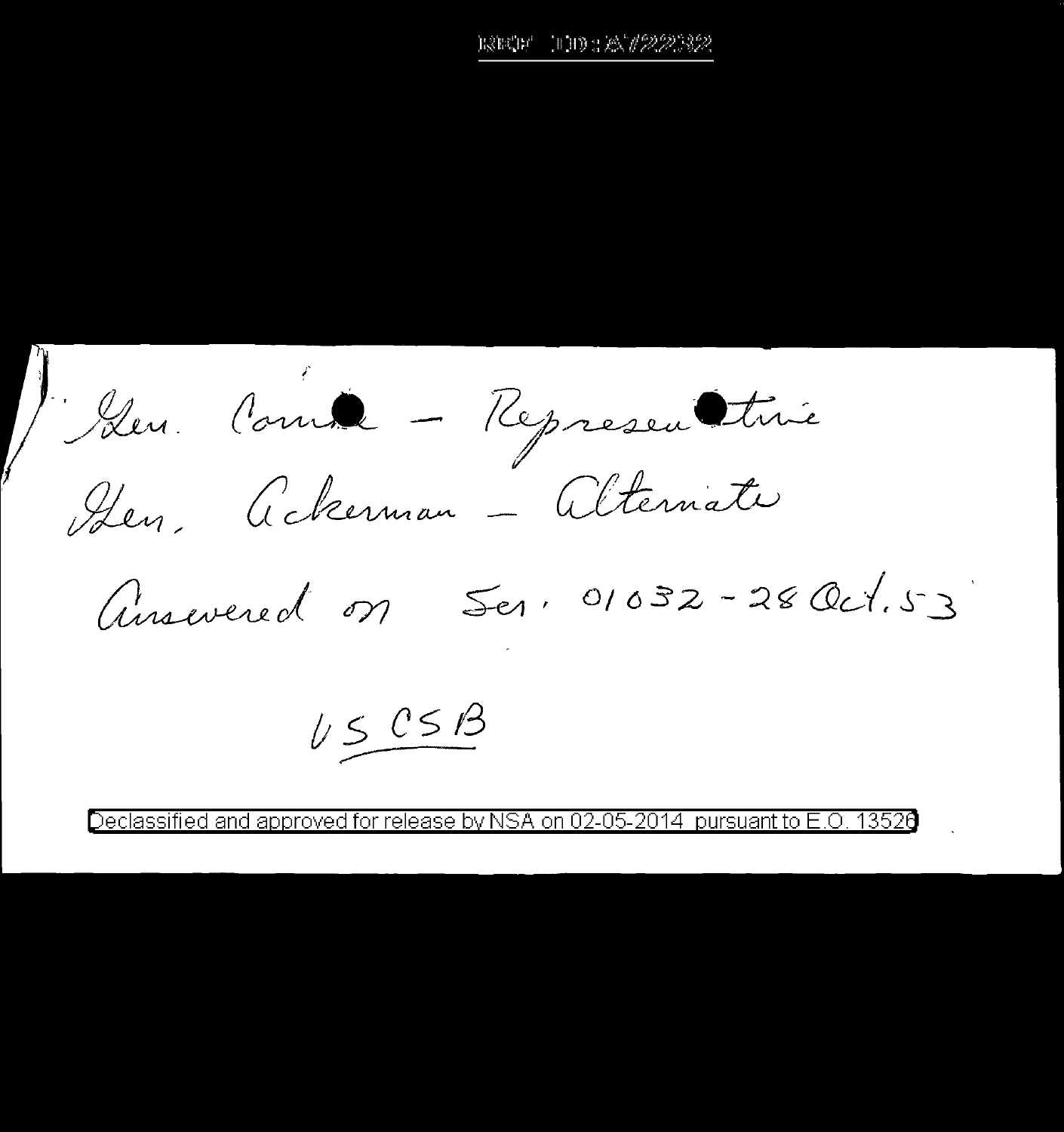100: A12232 earcer

Iden Comme - Representime Hen, Ackerman - Alternate

Answered on Ser, 01032-28 Oct.53

 $U S$  CSB

Declassified and approved for release by NSA on 02-05-2014. pursuant to E.O. 13526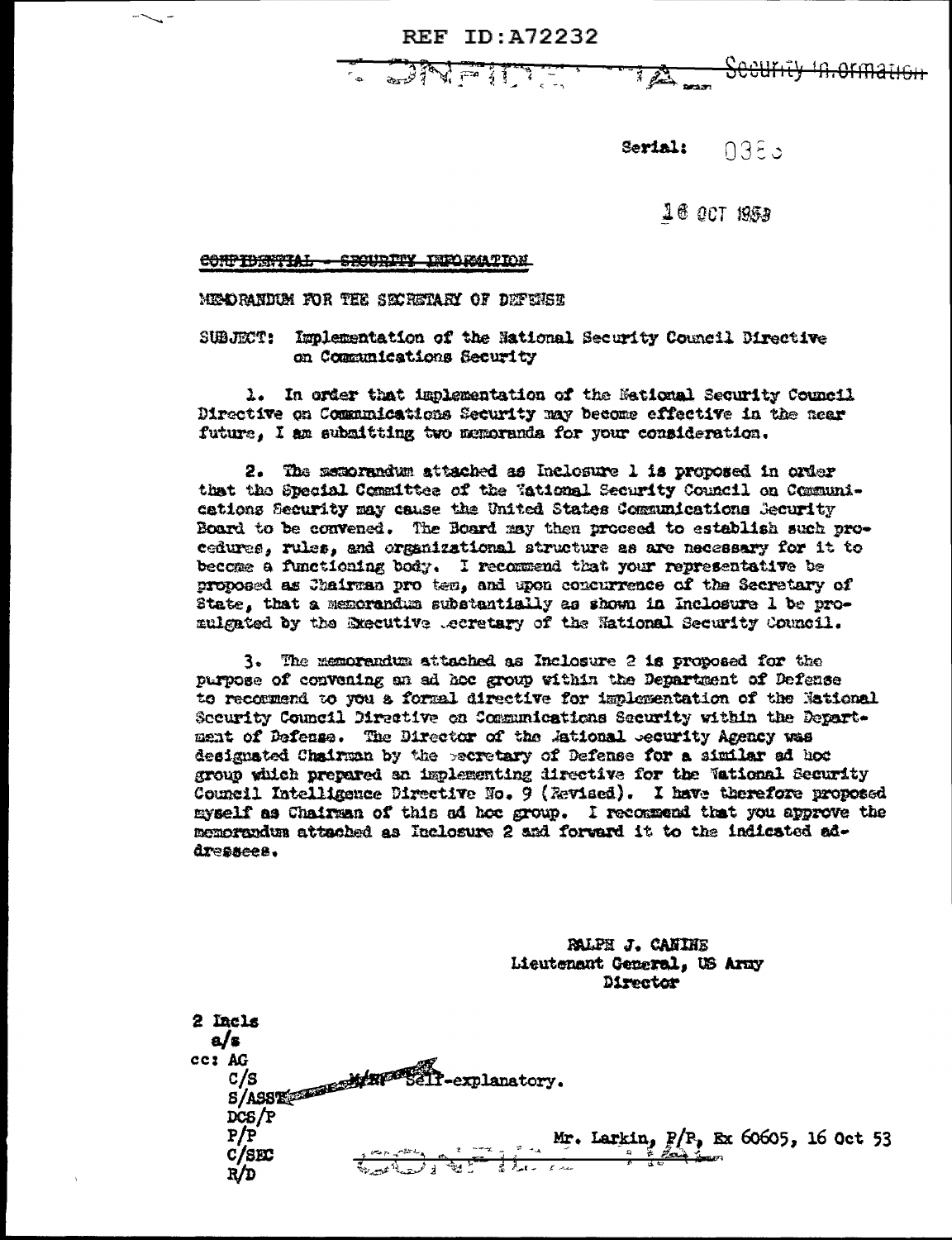**REF ID: A72232** 

**ANTEST** 



Serial: 0385

16 OCT 1953

CONFIDENTIAL - SECURITY INFORMATION

MENDRANDUM FOR THE SECRETARY OF DEPENSE

SUBJECT: Implementation of the National Security Council Directive on Communications Security

1. In order that implementation of the Mational Security Council Directive on Communications Security may become effective in the near future. I am submitting two memoranda for your consideration.

2. The memorandum attached as Inclosure 1 is proposed in order that the Special Committee of the Tational Security Council on Communications Security may cause the United States Communications Security Board to be convened. The Board may then proceed to establish such procedures, rules, and organizational structure as are necessary for it to become a functioning body. I recommend that your representative be proposed as Chairman pro tem, and upon concurrence of the Secretary of State. that a memorandum substantially as shown in Inclosure 1 be promulgated by the Executive .ecretary of the National Security Council.

3. The memorandum attached as Inclosure 2 is proposed for the purpose of convening an ad hoc group within the Department of Defense to recommend to you a formal directive for implementation of the National Security Council Directive on Communications Security within the Department of Defense. The Director of the Astional Security Agency was designated Chairman by the pecretary of Defense for a similar ad hoc group which prepared an implementing directive for the Wational Security Council Intelligence Directive No. 9 (Revised). I have therefore proposed myself as Chairman of this ad hoc group. I recommend that you approve the memorandum attached as Inclosure 2 and forward it to the indicated addressees.

> **PALPH J. CANINE** Lieutenaut General, US Army Director

2 Incls  $a/\mathbf{r}$ C/S<br>S/ASSE<del>CIOLOGY/RF<sup>20</sup>Sell</del>-explanatory. ce: AG  $DCS/P$ Mr. Larkin,  $P/P$ , Ex 60605, 16 Oct 53  $P/P$  $C/SEC$  $R/D$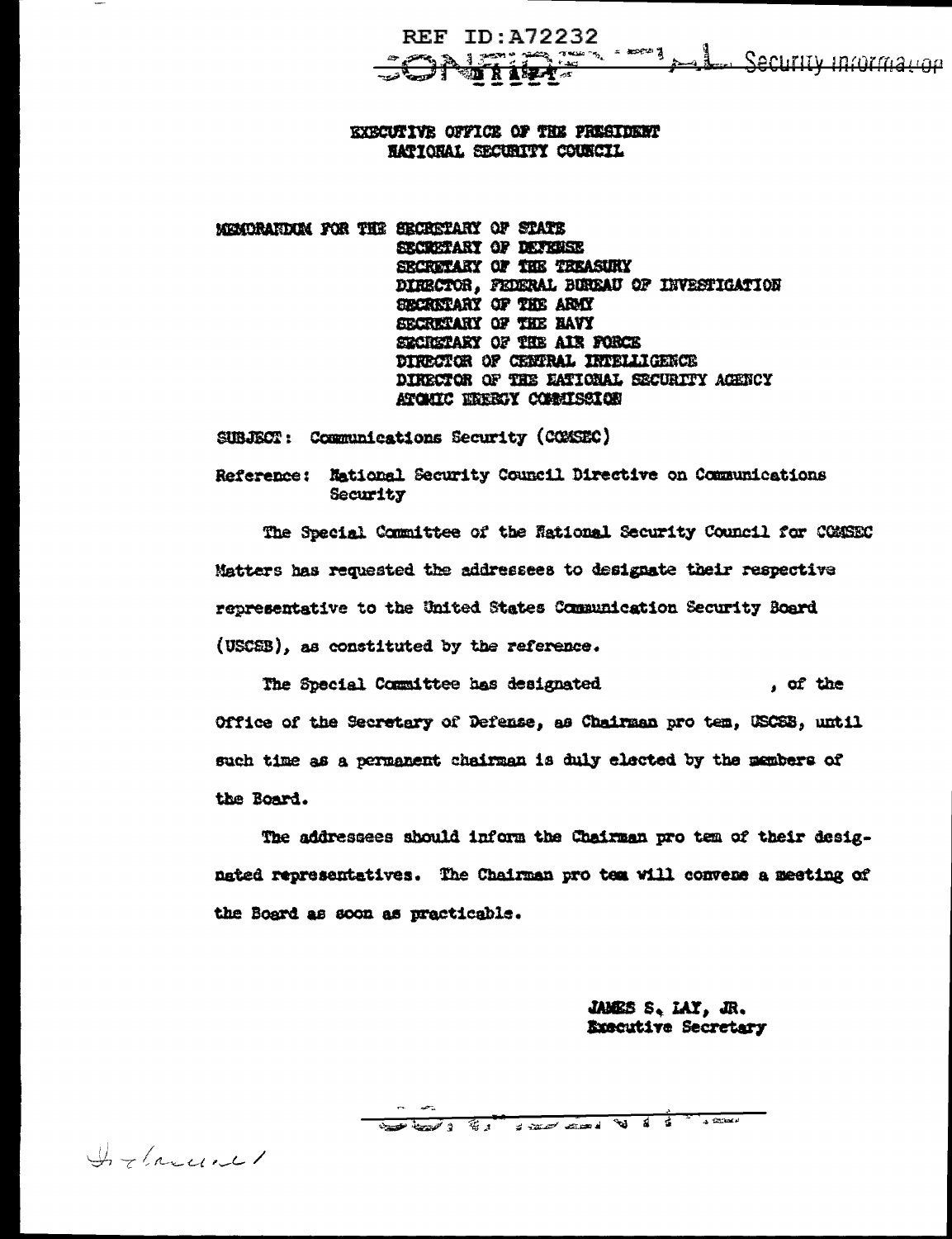REF ID: A72232 12 : 21 - 21 - 22 - 22 - 3 - 1 - Security Information **ONfilet** 

**EXECUTIVE OFFICE OF THE PRESIDENT** RATIONAL SECURITY COUNCIL

MEMORARDUM FOR THE SECRETARY OF STATE SECRETARY OF DEFINISE SECRETARY OF THE TREASURY DIRECTOR, FEDERAL BUREAU OF INVESTIGATION SECRETARY OF THE ARMY SECRETARY OF THE BAVY SECRETARY OF THE AIR FORCE DIRECTOR OF CENTRAL INTELLIGENCE DIRECTOR OF THE EATIONAL SECURITY AGENCY ATOMIC EXERCY COMMISSION

SUBJECT: Communications Security (COMSEC)

Reference: National Security Council Directive on Communications Security

The Special Committee of the Rational Security Council for COMSEC Matters has requested the addressees to designate their respective representative to the United States Communication Security Board (USCEB), as constituted by the reference.

The Special Committee has designated , of the Office of the Secretary of Defense, as Chairman pro tem, USCSB, until such time as a permanent chairman is duly elected by the members of the Board.

The addressees should inform the Chairman pro tem of their designgted representatives. The Chairman pro tem will convene a meeting of the Board as soon as practicable.

> JAMES S. LAY, JR. Executive Secretary

Some that I this is start comed to do to the street

Inflance-1